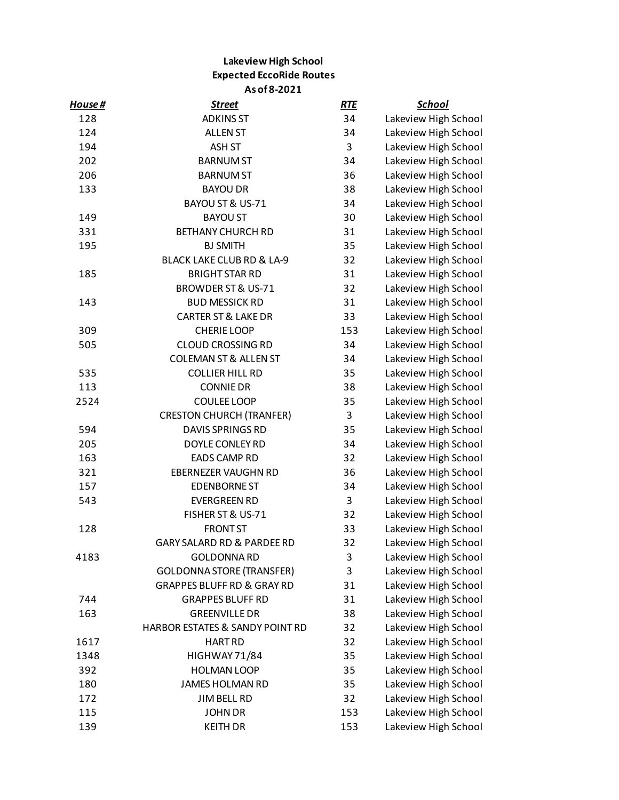## **Lakeview High School Expected EccoRide Routes As of 8-2021**

| House # | <b>Street</b>                         | <b>RTE</b> | <u>School</u>        |
|---------|---------------------------------------|------------|----------------------|
| 128     | <b>ADKINS ST</b>                      | 34         | Lakeview High School |
| 124     | <b>ALLEN ST</b>                       | 34         | Lakeview High School |
| 194     | ASH ST                                | 3          | Lakeview High School |
| 202     | <b>BARNUM ST</b>                      | 34         | Lakeview High School |
| 206     | <b>BARNUM ST</b>                      | 36         | Lakeview High School |
| 133     | <b>BAYOU DR</b>                       | 38         | Lakeview High School |
|         | BAYOU ST & US-71                      | 34         | Lakeview High School |
| 149     | <b>BAYOU ST</b>                       | 30         | Lakeview High School |
| 331     | <b>BETHANY CHURCH RD</b>              | 31         | Lakeview High School |
| 195     | <b>BJ SMITH</b>                       | 35         | Lakeview High School |
|         | BLACK LAKE CLUB RD & LA-9             | 32         | Lakeview High School |
| 185     | <b>BRIGHT STAR RD</b>                 | 31         | Lakeview High School |
|         | <b>BROWDER ST &amp; US-71</b>         | 32         | Lakeview High School |
| 143     | <b>BUD MESSICK RD</b>                 | 31         | Lakeview High School |
|         | <b>CARTER ST &amp; LAKE DR</b>        | 33         | Lakeview High School |
| 309     | <b>CHERIE LOOP</b>                    | 153        | Lakeview High School |
| 505     | <b>CLOUD CROSSING RD</b>              | 34         | Lakeview High School |
|         | <b>COLEMAN ST &amp; ALLEN ST</b>      | 34         | Lakeview High School |
| 535     | <b>COLLIER HILL RD</b>                | 35         | Lakeview High School |
| 113     | <b>CONNIE DR</b>                      | 38         | Lakeview High School |
| 2524    | COULEE LOOP                           | 35         | Lakeview High School |
|         | <b>CRESTON CHURCH (TRANFER)</b>       | 3          | Lakeview High School |
| 594     | <b>DAVIS SPRINGS RD</b>               | 35         | Lakeview High School |
| 205     | DOYLE CONLEY RD                       | 34         | Lakeview High School |
| 163     | <b>EADS CAMP RD</b>                   | 32         | Lakeview High School |
| 321     | <b>EBERNEZER VAUGHN RD</b>            | 36         | Lakeview High School |
| 157     | <b>EDENBORNE ST</b>                   | 34         | Lakeview High School |
| 543     | <b>EVERGREEN RD</b>                   | 3          | Lakeview High School |
|         | FISHER ST & US-71                     | 32         | Lakeview High School |
| 128     | <b>FRONT ST</b>                       | 33         | Lakeview High School |
|         | GARY SALARD RD & PARDEE RD            | 32         | Lakeview High School |
| 4183    | <b>GOLDONNA RD</b>                    | 3          | Lakeview High School |
|         | <b>GOLDONNA STORE (TRANSFER)</b>      | 3          | Lakeview High School |
|         | <b>GRAPPES BLUFF RD &amp; GRAY RD</b> | 31         | Lakeview High School |
| 744     | <b>GRAPPES BLUFF RD</b>               | 31         | Lakeview High School |
| 163     | <b>GREENVILLE DR</b>                  | 38         | Lakeview High School |
|         | HARBOR ESTATES & SANDY POINT RD       | 32         | Lakeview High School |
| 1617    | <b>HART RD</b>                        | 32         | Lakeview High School |
| 1348    | HIGHWAY 71/84                         | 35         | Lakeview High School |
| 392     | <b>HOLMAN LOOP</b>                    | 35         | Lakeview High School |
| 180     | <b>JAMES HOLMAN RD</b>                | 35         | Lakeview High School |
| 172     | <b>JIM BELL RD</b>                    | 32         | Lakeview High School |
| 115     | <b>JOHN DR</b>                        | 153        | Lakeview High School |
| 139     | <b>KEITH DR</b>                       | 153        | Lakeview High School |